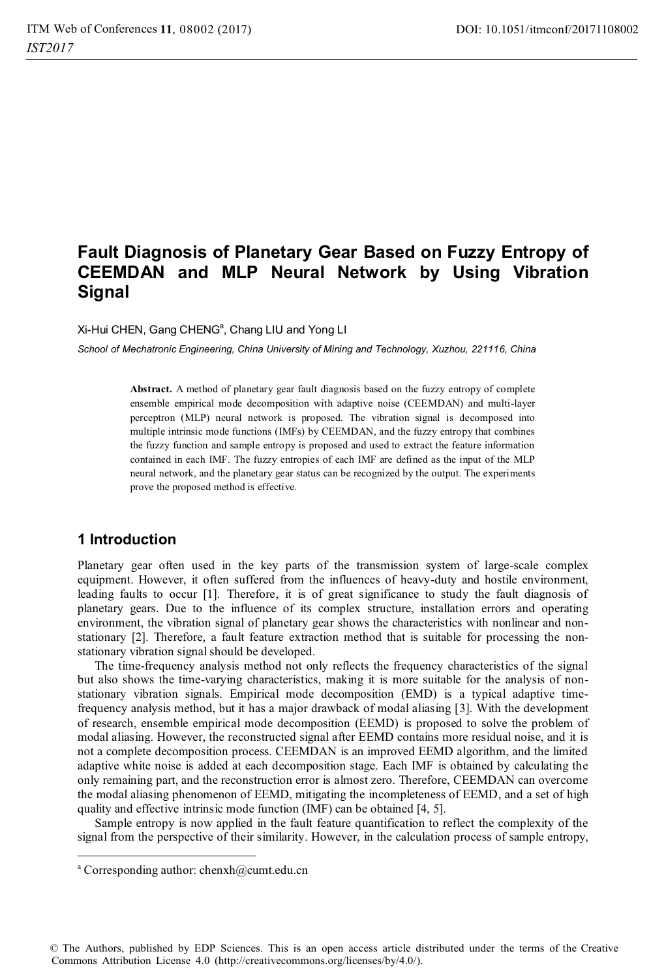# **Fault Diagnosis of Planetary Gear Based on Fuzzy Entropy of CEEMDAN and MLP Neural Network by Using Vibration Signal**

Xi-Hui CHEN, Gang CHENG<sup>a</sup>, Chang LIU and Yong LI

*School of Mechatronic Engineering, China University of Mining and Technology, Xuzhou, 221116, China* 

**Abstract.** A method of planetary gear fault diagnosis based on the fuzzy entropy of complete ensemble empirical mode decomposition with adaptive noise (CEEMDAN) and multi-layer perceptron (MLP) neural network is proposed. The vibration signal is decomposed into multiple intrinsic mode functions (IMFs) by CEEMDAN, and the fuzzy entropy that combines the fuzzy function and sample entropy is proposed and used to extract the feature information contained in each IMF. The fuzzy entropies of each IMF are defined as the input of the MLP neural network, and the planetary gear status can be recognized by the output. The experiments prove the proposed method is effective.

### **1 Introduction**

 $\overline{a}$ 

Planetary gear often used in the key parts of the transmission system of large-scale complex equipment. However, it often suffered from the influences of heavy-duty and hostile environment, leading faults to occur [1]. Therefore, it is of great significance to study the fault diagnosis of planetary gears. Due to the influence of its complex structure, installation errors and operating environment, the vibration signal of planetary gear shows the characteristics with nonlinear and nonstationary [2]. Therefore, a fault feature extraction method that is suitable for processing the nonstationary vibration signal should be developed.

The time-frequency analysis method not only reflects the frequency characteristics of the signal but also shows the time-varying characteristics, making it is more suitable for the analysis of nonstationary vibration signals. Empirical mode decomposition (EMD) is a typical adaptive timefrequency analysis method, but it has a major drawback of modal aliasing [3]. With the development of research, ensemble empirical mode decomposition (EEMD) is proposed to solve the problem of modal aliasing. However, the reconstructed signal after EEMD contains more residual noise, and it is not a complete decomposition process. CEEMDAN is an improved EEMD algorithm, and the limited adaptive white noise is added at each decomposition stage. Each IMF is obtained by calculating the only remaining part, and the reconstruction error is almost zero. Therefore, CEEMDAN can overcome the modal aliasing phenomenon of EEMD, mitigating the incompleteness of EEMD, and a set of high quality and effective intrinsic mode function (IMF) can be obtained [4, 5].

Sample entropy is now applied in the fault feature quantification to reflect the complexity of the signal from the perspective of their similarity. However, in the calculation process of sample entropy,

© The Authors, published by EDP Sciences. This is an open access article distributed under the terms of the Creative Commons Attribution License 4.0 (http://creativecommons.org/licenses/by/4.0/).

a Corresponding author: chenxh@cumt.edu.cn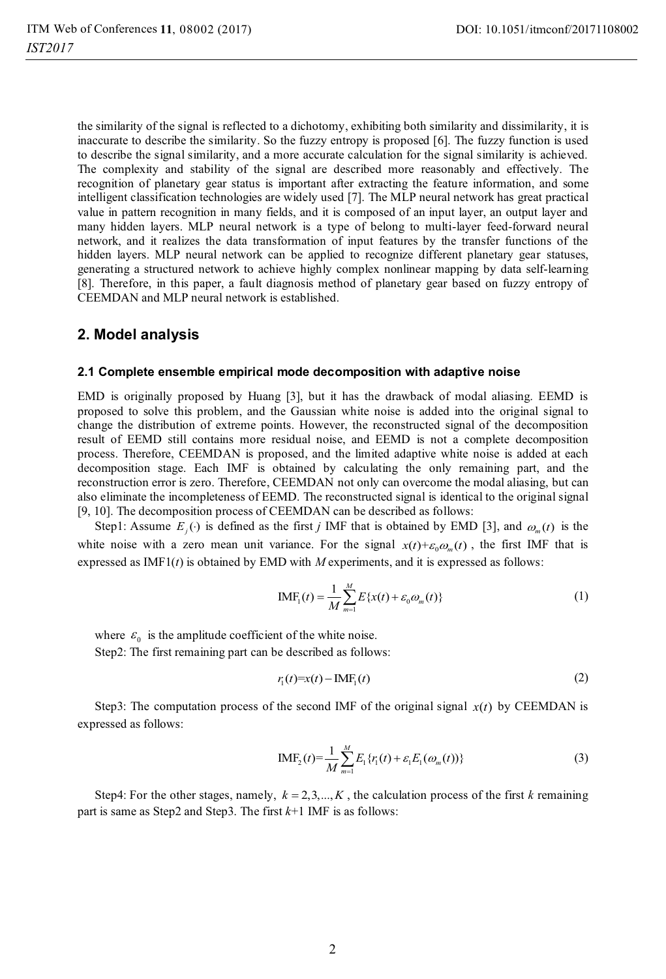the similarity of the signal is reflected to a dichotomy, exhibiting both similarity and dissimilarity, it is inaccurate to describe the similarity. So the fuzzy entropy is proposed [6]. The fuzzy function is used to describe the signal similarity, and a more accurate calculation for the signal similarity is achieved. The complexity and stability of the signal are described more reasonably and effectively. The recognition of planetary gear status is important after extracting the feature information, and some intelligent classification technologies are widely used [7]. The MLP neural network has great practical value in pattern recognition in many fields, and it is composed of an input layer, an output layer and many hidden layers. MLP neural network is a type of belong to multi-layer feed-forward neural network, and it realizes the data transformation of input features by the transfer functions of the hidden layers. MLP neural network can be applied to recognize different planetary gear statuses, generating a structured network to achieve highly complex nonlinear mapping by data self-learning [8]. Therefore, in this paper, a fault diagnosis method of planetary gear based on fuzzy entropy of CEEMDAN and MLP neural network is established.

### **2. Model analysis**

#### **2.1 Complete ensemble empirical mode decomposition with adaptive noise**

EMD is originally proposed by Huang [3], but it has the drawback of modal aliasing. EEMD is proposed to solve this problem, and the Gaussian white noise is added into the original signal to change the distribution of extreme points. However, the reconstructed signal of the decomposition result of EEMD still contains more residual noise, and EEMD is not a complete decomposition process. Therefore, CEEMDAN is proposed, and the limited adaptive white noise is added at each decomposition stage. Each IMF is obtained by calculating the only remaining part, and the reconstruction error is zero. Therefore, CEEMDAN not only can overcome the modal aliasing, but can also eliminate the incompleteness of EEMD. The reconstructed signal is identical to the original signal [9, 10]. The decomposition process of CEEMDAN can be described as follows:

Step1: Assume  $E_j(\cdot)$  is defined as the first *j* IMF that is obtained by EMD [3], and  $\omega_m(t)$  is the white noise with a zero mean unit variance. For the signal  $x(t) + \varepsilon_0 \omega_{m}(t)$ , the first IMF that is expressed as IMF1(*t*) is obtained by EMD with *M* experiments, and it is expressed as follows:

$$
IMF_1(t) = \frac{1}{M} \sum_{m=1}^{M} E\{x(t) + \varepsilon_0 \omega_m(t)\}\tag{1}
$$

where  $\varepsilon_0$  is the amplitude coefficient of the white noise.

Step2: The first remaining part can be described as follows:

$$
r_1(t)=x(t)-\text{IMF}_1(t) \tag{2}
$$

Step3: The computation process of the second IMF of the original signal  $x(t)$  by CEEMDAN is expressed as follows:

$$
IMF_2(t) = \frac{1}{M} \sum_{m=1}^{M} E_1 \{r_1(t) + \varepsilon_1 E_1(\omega_m(t))\}
$$
 (3)

Step4: For the other stages, namely,  $k = 2, 3, ..., K$ , the calculation process of the first k remaining part is same as Step2 and Step3. The first *k*+1 IMF is as follows: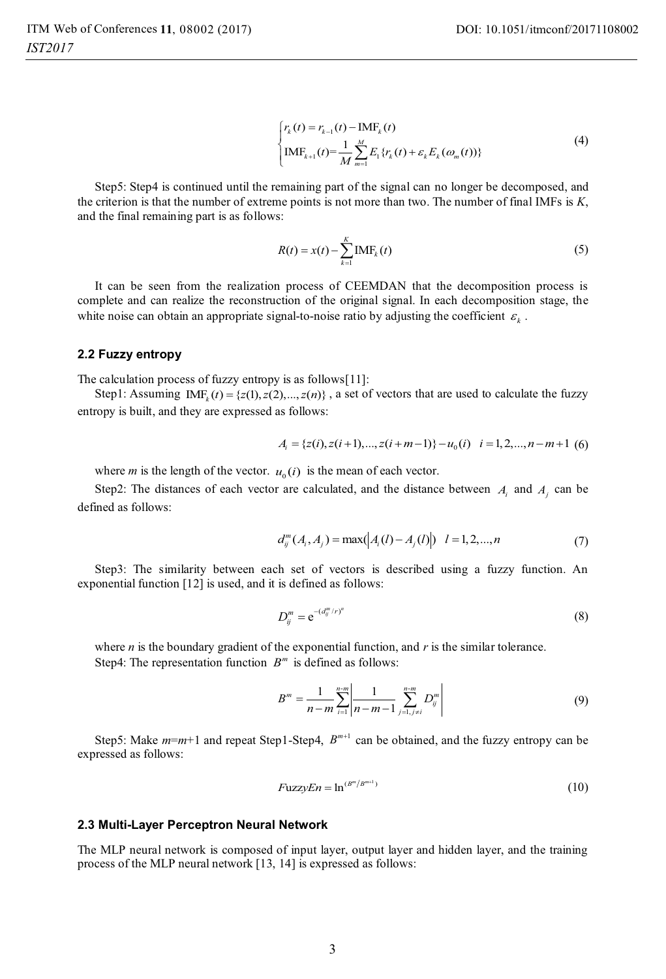$$
\begin{cases} r_k(t) = r_{k-1}(t) - \text{IMF}_k(t) \\ \text{IMF}_{k+1}(t) = \frac{1}{M} \sum_{m=1}^{M} E_1 \{r_k(t) + \varepsilon_k E_k(\omega_m(t))\} \end{cases}
$$
(4)

Step5: Step4 is continued until the remaining part of the signal can no longer be decomposed, and the criterion is that the number of extreme points is not more than two. The number of final IMFs is *K*, and the final remaining part is as follows:

$$
R(t) = x(t) - \sum_{k=1}^{K} \text{IMF}_k(t)
$$
\n(5)

It can be seen from the realization process of CEEMDAN that the decomposition process is complete and can realize the reconstruction of the original signal. In each decomposition stage, the white noise can obtain an appropriate signal-to-noise ratio by adjusting the coefficient  $\varepsilon_k$ .

#### **2.2 Fuzzy entropy**

The calculation process of fuzzy entropy is as follows[11]:

Step1: Assuming  $IMF_k(t) = \{z(1), z(2),..., z(n)\}\$ , a set of vectors that are used to calculate the fuzzy entropy is built, and they are expressed as follows:

$$
A_i = \{z(i), z(i+1), \dots, z(i+m-1)\} - u_0(i) \quad i = 1, 2, \dots, n-m+1 \tag{6}
$$

where *m* is the length of the vector.  $u_0(i)$  is the mean of each vector.

Step2: The distances of each vector are calculated, and the distance between  $A_i$  and  $A_j$  can be defined as follows:

$$
d_{ij}^{m}(A_i, A_j) = \max(|A_i(l) - A_j(l)|) \quad l = 1, 2, ..., n
$$
 (7)

Step3: The similarity between each set of vectors is described using a fuzzy function. An exponential function [12] is used, and it is defined as follows:

$$
D_{ij}^m = \mathrm{e}^{-(d_{ij}^m/r)^n} \tag{8}
$$

where *n* is the boundary gradient of the exponential function, and *r* is the similar tolerance. Step4: The representation function  $B^m$  is defined as follows:

$$
B^{m} = \frac{1}{n-m} \sum_{i=1}^{n-m} \left| \frac{1}{n-m-1} \sum_{j=1, j \neq i}^{n-m} D_{ij}^{m} \right| \tag{9}
$$

Step5: Make  $m=m+1$  and repeat Step1-Step4,  $B^{m+1}$  can be obtained, and the fuzzy entropy can be expressed as follows:

$$
FuzzyEn = \ln^{(B^{m}/B^{m+1})}
$$
\n(10)

#### **2.3 Multi-Layer Perceptron Neural Network**

The MLP neural network is composed of input layer, output layer and hidden layer, and the training process of the MLP neural network [13, 14] is expressed as follows: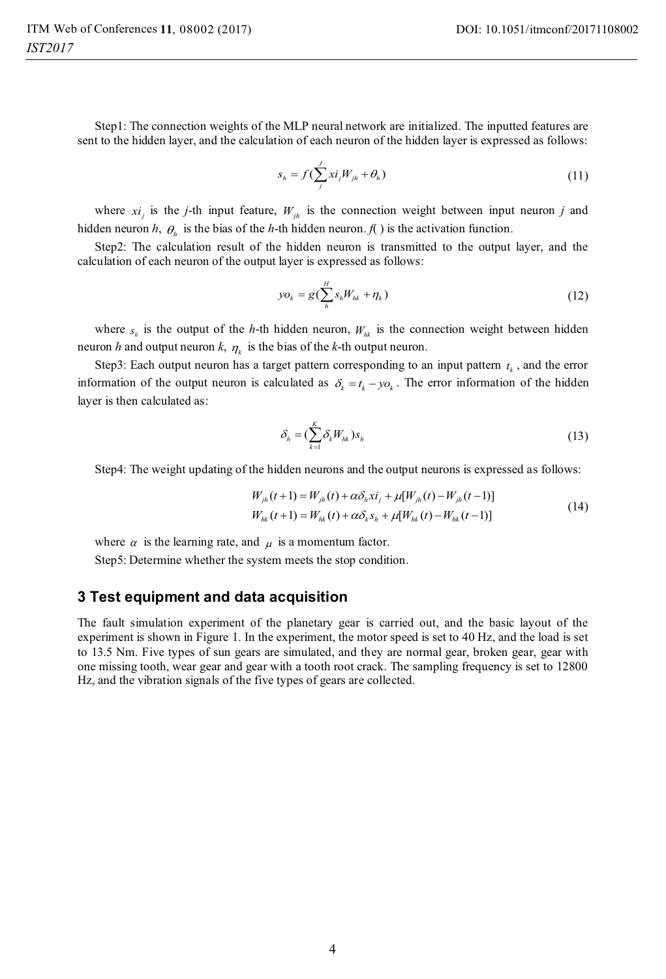Step1: The connection weights of the MLP neural network are initialized. The inputted features are sent to the hidden layer, and the calculation of each neuron of the hidden layer is expressed as follows:

$$
s_h = f(\sum_{j}^{J} x i_j W_{jh} + \theta_h)
$$
\n(11)

where  $xi_j$  is the *j*-th input feature,  $W_{jk}$  is the connection weight between input neuron *j* and hidden neuron *h*,  $\theta_h$  is the bias of the *h*-th hidden neuron. *f*() is the activation function.

Step2: The calculation result of the hidden neuron is transmitted to the output layer, and the calculation of each neuron of the output layer is expressed as follows:

$$
y\sigma_k = g\left(\sum_{h}^{H} s_h W_{hk} + \eta_k\right) \tag{12}
$$

where  $s_h$  is the output of the *h*-th hidden neuron,  $W_{hk}$  is the connection weight between hidden neuron *h* and output neuron *k*,  $\eta_k$  is the bias of the *k*-th output neuron.

Step3: Each output neuron has a target pattern corresponding to an input pattern  $t_k$ , and the error information of the output neuron is calculated as  $\delta_k = t_k - y \delta_k$ . The error information of the hidden layer is then calculated as:

$$
\delta_h = (\sum_{k=1}^K \delta_k W_{hk}) s_h \tag{13}
$$

Step4: The weight updating of the hidden neurons and the output neurons is expressed as follows:

$$
W_{jk}(t+1) = W_{jk}(t) + \alpha \delta_h x i_j + \mu [W_{jk}(t) - W_{jk}(t-1)]
$$
  
\n
$$
W_{hk}(t+1) = W_{hk}(t) + \alpha \delta_k s_h + \mu [W_{hk}(t) - W_{hk}(t-1)]
$$
\n(14)

where  $\alpha$  is the learning rate, and  $\mu$  is a momentum factor.

Step5: Determine whether the system meets the stop condition.

### **3 Test equipment and data acquisition**

The fault simulation experiment of the planetary gear is carried out, and the basic layout of the experiment is shown in Figure 1. In the experiment, the motor speed is set to 40 Hz, and the load is set to 13.5 Nm. Five types of sun gears are simulated, and they are normal gear, broken gear, gear with one missing tooth, wear gear and gear with a tooth root crack. The sampling frequency is set to 12800 Hz, and the vibration signals of the five types of gears are collected.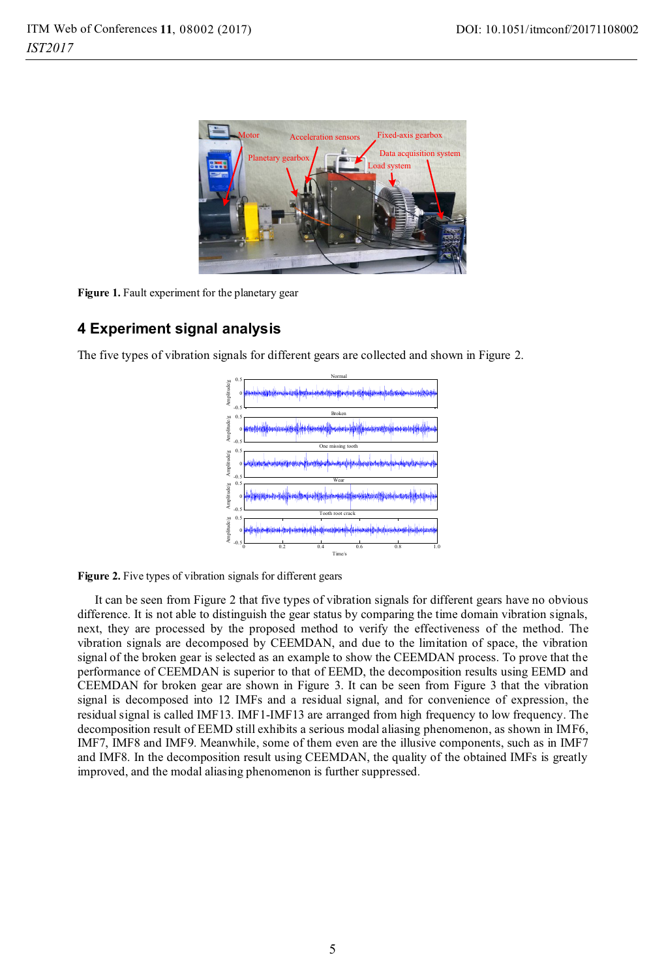

Figure 1. Fault experiment for the planetary gear

## **4 Experiment signal analysis**

The five types of vibration signals for different gears are collected and shown in Figure 2.



**Figure 2.** Five types of vibration signals for different gears

It can be seen from Figure 2 that five types of vibration signals for different gears have no obvious difference. It is not able to distinguish the gear status by comparing the time domain vibration signals, next, they are processed by the proposed method to verify the effectiveness of the method. The vibration signals are decomposed by CEEMDAN, and due to the limitation of space, the vibration signal of the broken gear is selected as an example to show the CEEMDAN process. To prove that the performance of CEEMDAN is superior to that of EEMD, the decomposition results using EEMD and CEEMDAN for broken gear are shown in Figure 3. It can be seen from Figure 3 that the vibration signal is decomposed into 12 IMFs and a residual signal, and for convenience of expression, the residual signal is called IMF13. IMF1-IMF13 are arranged from high frequency to low frequency. The decomposition result of EEMD still exhibits a serious modal aliasing phenomenon, as shown in IMF6, IMF7, IMF8 and IMF9. Meanwhile, some of them even are the illusive components, such as in IMF7 and IMF8. In the decomposition result using CEEMDAN, the quality of the obtained IMFs is greatly improved, and the modal aliasing phenomenon is further suppressed.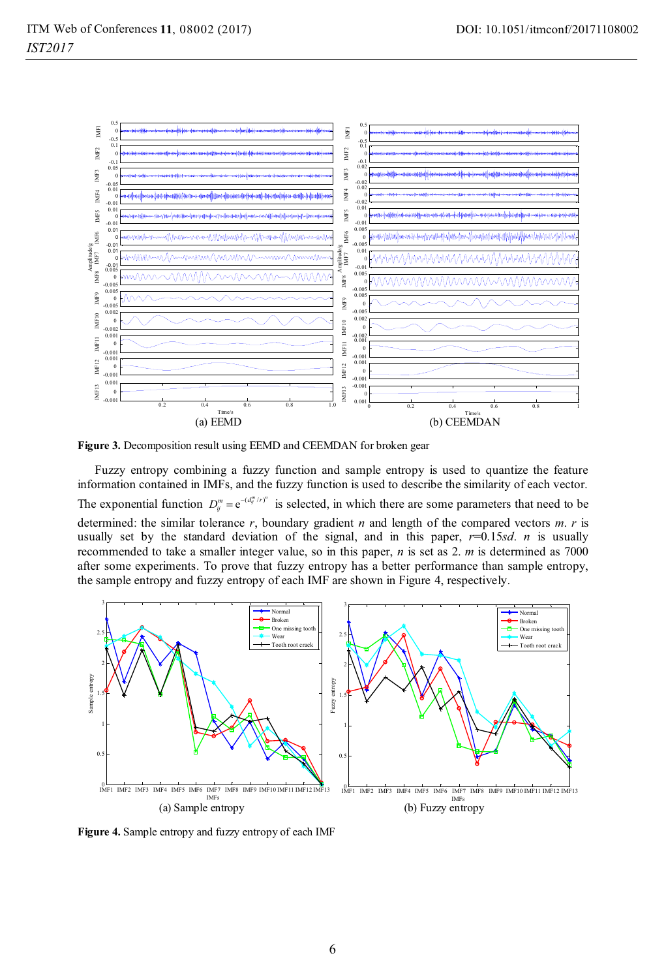

**Figure 3.** Decomposition result using EEMD and CEEMDAN for broken gear

Fuzzy entropy combining a fuzzy function and sample entropy is used to quantize the feature information contained in IMFs, and the fuzzy function is used to describe the similarity of each vector. The exponential function  $D_{ij}^m = e^{-(d_{ij}^m/r)^n}$  is selected, in which there are some parameters that need to be determined: the similar tolerance *r*, boundary gradient *n* and length of the compared vectors *m*. *r* is usually set by the standard deviation of the signal, and in this paper,  $r=0.15sd$ . *n* is usually recommended to take a smaller integer value, so in this paper, *n* is set as 2. *m* is determined as 7000 after some experiments. To prove that fuzzy entropy has a better performance than sample entropy, the sample entropy and fuzzy entropy of each IMF are shown in Figure 4, respectively.



**Figure 4.** Sample entropy and fuzzy entropy of each IMF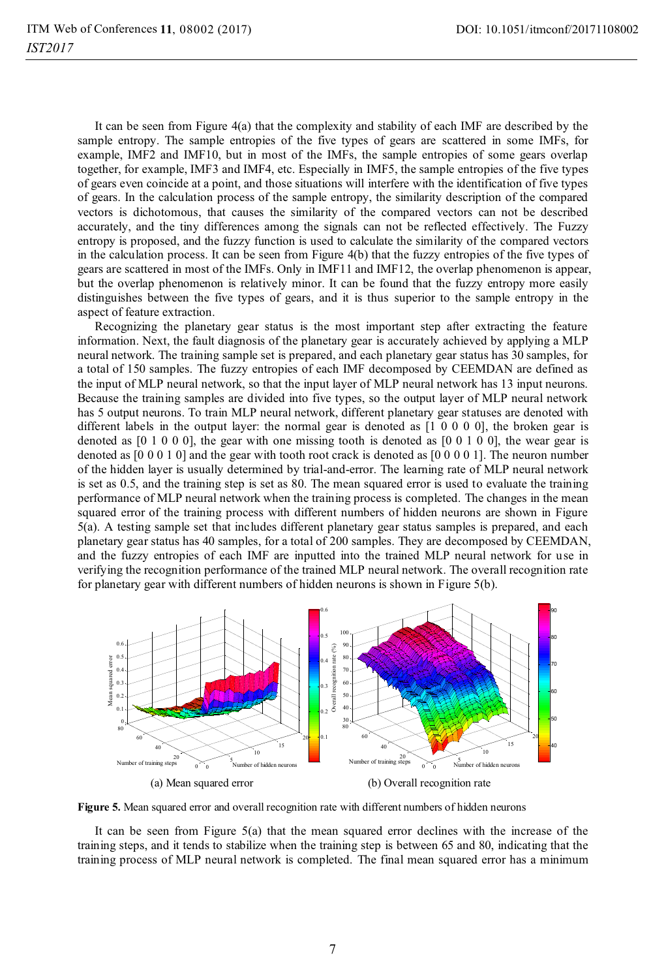It can be seen from Figure 4(a) that the complexity and stability of each IMF are described by the sample entropy. The sample entropies of the five types of gears are scattered in some IMFs, for example, IMF2 and IMF10, but in most of the IMFs, the sample entropies of some gears overlap together, for example, IMF3 and IMF4, etc. Especially in IMF5, the sample entropies of the five types of gears even coincide at a point, and those situations will interfere with the identification of five types of gears. In the calculation process of the sample entropy, the similarity description of the compared vectors is dichotomous, that causes the similarity of the compared vectors can not be described accurately, and the tiny differences among the signals can not be reflected effectively. The Fuzzy entropy is proposed, and the fuzzy function is used to calculate the similarity of the compared vectors in the calculation process. It can be seen from Figure 4(b) that the fuzzy entropies of the five types of gears are scattered in most of the IMFs. Only in IMF11 and IMF12, the overlap phenomenon is appear, but the overlap phenomenon is relatively minor. It can be found that the fuzzy entropy more easily distinguishes between the five types of gears, and it is thus superior to the sample entropy in the aspect of feature extraction.

Recognizing the planetary gear status is the most important step after extracting the feature information. Next, the fault diagnosis of the planetary gear is accurately achieved by applying a MLP neural network. The training sample set is prepared, and each planetary gear status has 30 samples, for a total of 150 samples. The fuzzy entropies of each IMF decomposed by CEEMDAN are defined as the input of MLP neural network, so that the input layer of MLP neural network has 13 input neurons. Because the training samples are divided into five types, so the output layer of MLP neural network has 5 output neurons. To train MLP neural network, different planetary gear statuses are denoted with different labels in the output layer: the normal gear is denoted as [1 0 0 0 0], the broken gear is denoted as  $[0 1 0 0 0]$ , the gear with one missing tooth is denoted as  $[0 0 1 0 0]$ , the wear gear is denoted as [0 0 0 1 0] and the gear with tooth root crack is denoted as [0 0 0 0 1]. The neuron number of the hidden layer is usually determined by trial-and-error. The learning rate of MLP neural network is set as 0.5, and the training step is set as 80. The mean squared error is used to evaluate the training performance of MLP neural network when the training process is completed. The changes in the mean squared error of the training process with different numbers of hidden neurons are shown in Figure 5(a). A testing sample set that includes different planetary gear status samples is prepared, and each planetary gear status has 40 samples, for a total of 200 samples. They are decomposed by CEEMDAN, and the fuzzy entropies of each IMF are inputted into the trained MLP neural network for use in verifying the recognition performance of the trained MLP neural network. The overall recognition rate for planetary gear with different numbers of hidden neurons is shown in Figure 5(b).



**Figure 5.** Mean squared error and overall recognition rate with different numbers of hidden neurons

It can be seen from Figure 5(a) that the mean squared error declines with the increase of the training steps, and it tends to stabilize when the training step is between 65 and 80, indicating that the training process of MLP neural network is completed. The final mean squared error has a minimum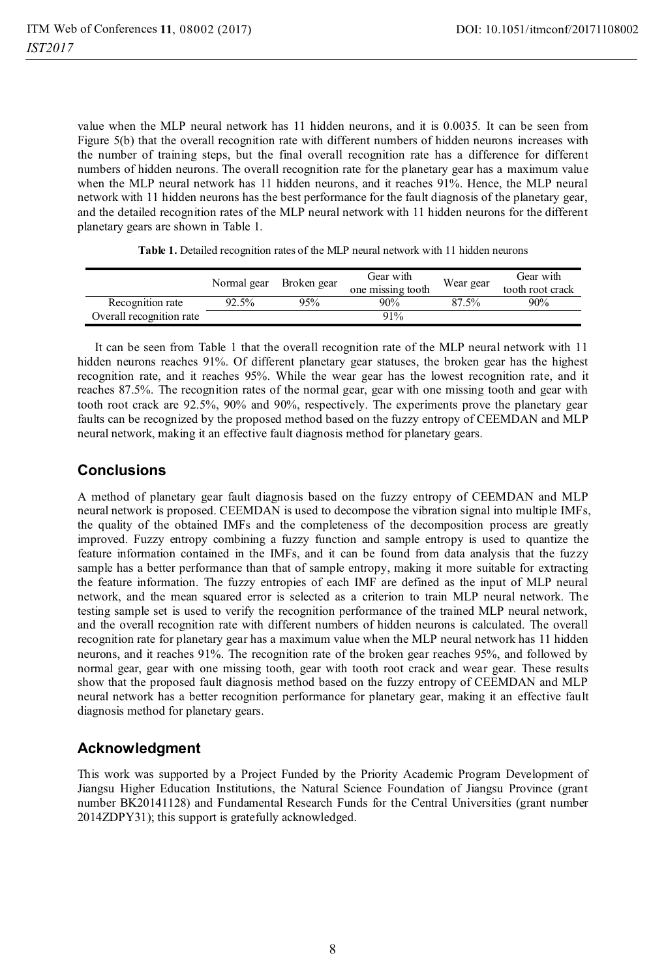value when the MLP neural network has 11 hidden neurons, and it is 0.0035. It can be seen from Figure 5(b) that the overall recognition rate with different numbers of hidden neurons increases with the number of training steps, but the final overall recognition rate has a difference for different numbers of hidden neurons. The overall recognition rate for the planetary gear has a maximum value when the MLP neural network has 11 hidden neurons, and it reaches 91%. Hence, the MLP neural network with 11 hidden neurons has the best performance for the fault diagnosis of the planetary gear, and the detailed recognition rates of the MLP neural network with 11 hidden neurons for the different planetary gears are shown in Table 1.

|  |  | <b>Table 1.</b> Detailed recognition rates of the MLP neural network with 11 hidden neurons |
|--|--|---------------------------------------------------------------------------------------------|
|  |  |                                                                                             |

|                          | Normal gear | Broken gear | Gear with<br>one missing tooth | Wear gear | Gear with<br>tooth root crack |
|--------------------------|-------------|-------------|--------------------------------|-----------|-------------------------------|
| Recognition rate         | 92.5%       | 95%         | 90%                            | 87.5%     | 90%                           |
| Overall recognition rate |             |             | 91%                            |           |                               |

It can be seen from Table 1 that the overall recognition rate of the MLP neural network with 11 hidden neurons reaches 91%. Of different planetary gear statuses, the broken gear has the highest recognition rate, and it reaches 95%. While the wear gear has the lowest recognition rate, and it reaches 87.5%. The recognition rates of the normal gear, gear with one missing tooth and gear with tooth root crack are 92.5%, 90% and 90%, respectively. The experiments prove the planetary gear faults can be recognized by the proposed method based on the fuzzy entropy of CEEMDAN and MLP neural network, making it an effective fault diagnosis method for planetary gears.

### **Conclusions**

A method of planetary gear fault diagnosis based on the fuzzy entropy of CEEMDAN and MLP neural network is proposed. CEEMDAN is used to decompose the vibration signal into multiple IMFs, the quality of the obtained IMFs and the completeness of the decomposition process are greatly improved. Fuzzy entropy combining a fuzzy function and sample entropy is used to quantize the feature information contained in the IMFs, and it can be found from data analysis that the fuzzy sample has a better performance than that of sample entropy, making it more suitable for extracting the feature information. The fuzzy entropies of each IMF are defined as the input of MLP neural network, and the mean squared error is selected as a criterion to train MLP neural network. The testing sample set is used to verify the recognition performance of the trained MLP neural network, and the overall recognition rate with different numbers of hidden neurons is calculated. The overall recognition rate for planetary gear has a maximum value when the MLP neural network has 11 hidden neurons, and it reaches 91%. The recognition rate of the broken gear reaches 95%, and followed by normal gear, gear with one missing tooth, gear with tooth root crack and wear gear. These results show that the proposed fault diagnosis method based on the fuzzy entropy of CEEMDAN and MLP neural network has a better recognition performance for planetary gear, making it an effective fault diagnosis method for planetary gears.

## **Acknowledgment**

This work was supported by a Project Funded by the Priority Academic Program Development of Jiangsu Higher Education Institutions, the Natural Science Foundation of Jiangsu Province (grant number BK20141128) and Fundamental Research Funds for the Central Universities (grant number 2014ZDPY31); this support is gratefully acknowledged.